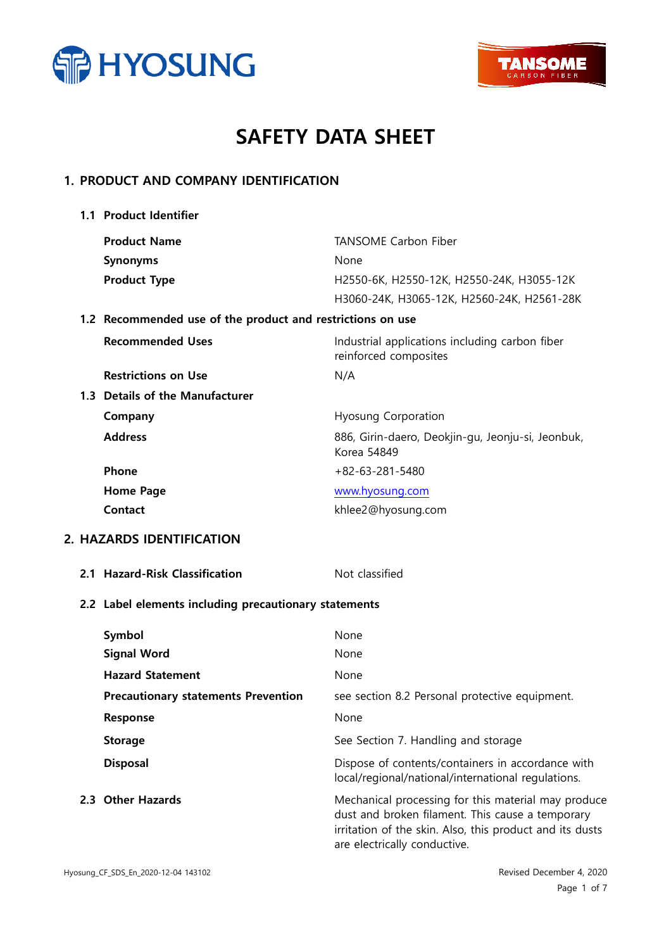



# SAFETY DATA SHEET

## 1. PRODUCT AND COMPANY IDENTIFICATION

| 1.1 Product Identifier                                     |                                                                         |  |
|------------------------------------------------------------|-------------------------------------------------------------------------|--|
| <b>Product Name</b>                                        | <b>TANSOME Carbon Fiber</b>                                             |  |
| <b>Synonyms</b>                                            | None                                                                    |  |
| <b>Product Type</b>                                        | H2550-6K, H2550-12K, H2550-24K, H3055-12K                               |  |
|                                                            | H3060-24K, H3065-12K, H2560-24K, H2561-28K                              |  |
| 1.2 Recommended use of the product and restrictions on use |                                                                         |  |
| <b>Recommended Uses</b>                                    | Industrial applications including carbon fiber<br>reinforced composites |  |
| <b>Restrictions on Use</b>                                 | N/A                                                                     |  |
| 1.3 Details of the Manufacturer                            |                                                                         |  |
| Company                                                    | <b>Hyosung Corporation</b>                                              |  |
| <b>Address</b>                                             | 886, Girin-daero, Deokjin-gu, Jeonju-si, Jeonbuk,<br>Korea 54849        |  |
| Phone                                                      | $+82-63-281-5480$                                                       |  |
| <b>Home Page</b>                                           | www.hyosung.com                                                         |  |
| <b>Contact</b>                                             | khlee2@hyosung.com                                                      |  |
| 2. HAZARDS IDENTIFICATION                                  |                                                                         |  |
| 2.1 Hazard-Risk Classification                             | Not classified                                                          |  |
| 2.2 Label elements including precautionary statements      |                                                                         |  |

| Symbol                                     | None                                                                                                                                                                                                |
|--------------------------------------------|-----------------------------------------------------------------------------------------------------------------------------------------------------------------------------------------------------|
| <b>Signal Word</b>                         | None                                                                                                                                                                                                |
| <b>Hazard Statement</b>                    | None                                                                                                                                                                                                |
| <b>Precautionary statements Prevention</b> | see section 8.2 Personal protective equipment.                                                                                                                                                      |
| Response                                   | None                                                                                                                                                                                                |
| <b>Storage</b>                             | See Section 7. Handling and storage                                                                                                                                                                 |
| <b>Disposal</b>                            | Dispose of contents/containers in accordance with<br>local/regional/national/international regulations.                                                                                             |
| 2.3 Other Hazards                          | Mechanical processing for this material may produce<br>dust and broken filament. This cause a temporary<br>irritation of the skin. Also, this product and its dusts<br>are electrically conductive. |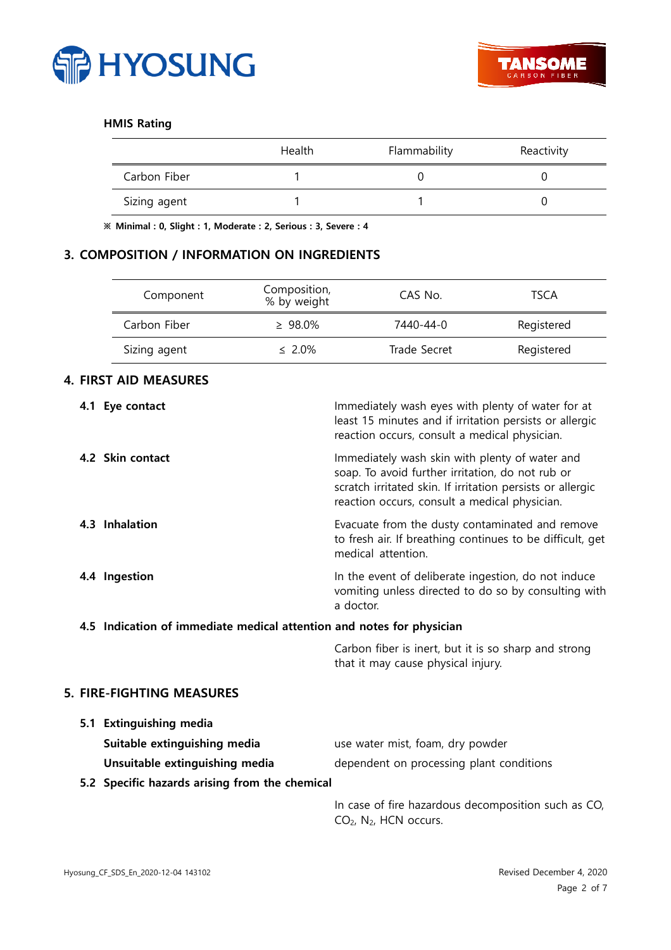

## HMIS Rating

|              | Health | Flammability | Reactivity |
|--------------|--------|--------------|------------|
| Carbon Fiber |        |              |            |
| Sizing agent |        |              |            |

※ Minimal : 0, Slight : 1, Moderate : 2, Serious : 3, Severe : 4

## 3. COMPOSITION / INFORMATION ON INGREDIENTS

| Component    | Composition,<br>% by weight | CAS No.      | TSCA       |
|--------------|-----------------------------|--------------|------------|
| Carbon Fiber | $\geq 98.0\%$               | 7440-44-0    | Registered |
| Sizing agent | $\leq 2.0\%$                | Trade Secret | Registered |

## 4. FIRST AID MEASURES

| Immediately wash eyes with plenty of water for at<br>least 15 minutes and if irritation persists or allergic<br>reaction occurs, consult a medical physician.                                                     |
|-------------------------------------------------------------------------------------------------------------------------------------------------------------------------------------------------------------------|
| Immediately wash skin with plenty of water and<br>soap. To avoid further irritation, do not rub or<br>scratch irritated skin. If irritation persists or allergic<br>reaction occurs, consult a medical physician. |
| Evacuate from the dusty contaminated and remove<br>to fresh air. If breathing continues to be difficult, get<br>medical attention.                                                                                |
| In the event of deliberate ingestion, do not induce<br>vomiting unless directed to do so by consulting with<br>a doctor.                                                                                          |
| 4.5 Indication of immediate medical attention and notes for physician                                                                                                                                             |
| Carbon fiber is inert, but it is so sharp and strong<br>that it may cause physical injury.                                                                                                                        |
|                                                                                                                                                                                                                   |
|                                                                                                                                                                                                                   |
| use water mist, foam, dry powder                                                                                                                                                                                  |
| dependent on processing plant conditions                                                                                                                                                                          |
| 5.2 Specific hazards arising from the chemical                                                                                                                                                                    |
| In case of fire hazardous decomposition such as CO,<br>CO <sub>2</sub> , N <sub>2</sub> , HCN occurs.                                                                                                             |
|                                                                                                                                                                                                                   |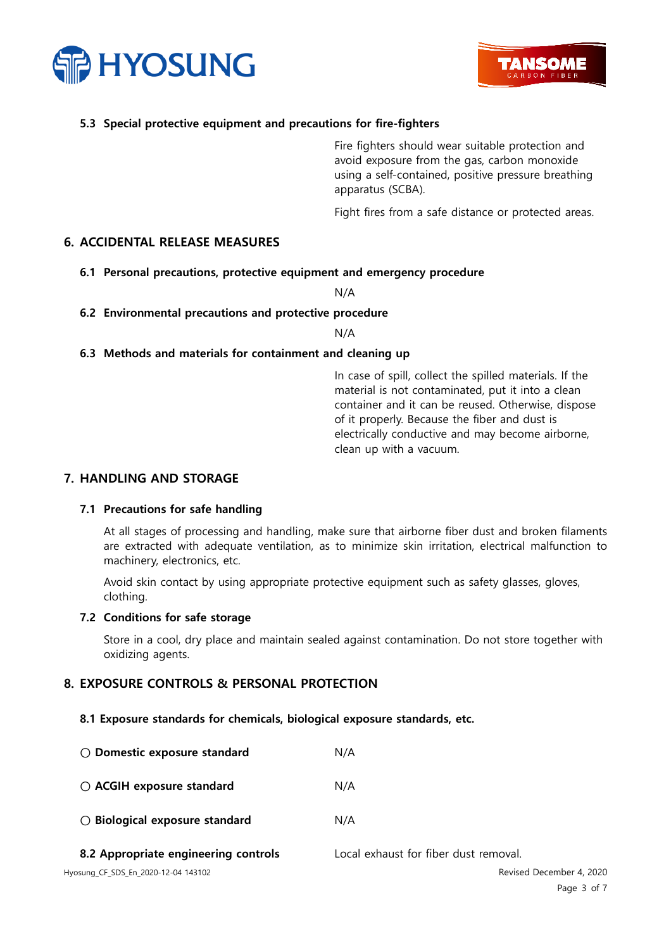



## 5.3 Special protective equipment and precautions for fire-fighters

Fire fighters should wear suitable protection and avoid exposure from the gas, carbon monoxide using a self-contained, positive pressure breathing apparatus (SCBA).

Fight fires from a safe distance or protected areas.

## 6. ACCIDENTAL RELEASE MEASURES

#### 6.1 Personal precautions, protective equipment and emergency procedure

N/A

#### 6.2 Environmental precautions and protective procedure

N/A

#### 6.3 Methods and materials for containment and cleaning up

In case of spill, collect the spilled materials. If the material is not contaminated, put it into a clean container and it can be reused. Otherwise, dispose of it properly. Because the fiber and dust is electrically conductive and may become airborne, clean up with a vacuum.

#### 7. HANDLING AND STORAGE

#### 7.1 Precautions for safe handling

At all stages of processing and handling, make sure that airborne fiber dust and broken filaments are extracted with adequate ventilation, as to minimize skin irritation, electrical malfunction to machinery, electronics, etc.

Avoid skin contact by using appropriate protective equipment such as safety glasses, gloves, clothing.

#### 7.2 Conditions for safe storage

Store in a cool, dry place and maintain sealed against contamination. Do not store together with oxidizing agents.

#### 8. EXPOSURE CONTROLS & PERSONAL PROTECTION

#### 8.1 Exposure standards for chemicals, biological exposure standards, etc.

| $\bigcirc$ Domestic exposure standard   | N/A                                   |
|-----------------------------------------|---------------------------------------|
| $\bigcirc$ ACGIH exposure standard      | N/A                                   |
| $\bigcirc$ Biological exposure standard | N/A                                   |
| 8.2 Appropriate engineering controls    | Local exhaust for fiber dust removal. |
| Hyosung_CF_SDS_En_2020-12-04 143102     | Revised December 4, 2020              |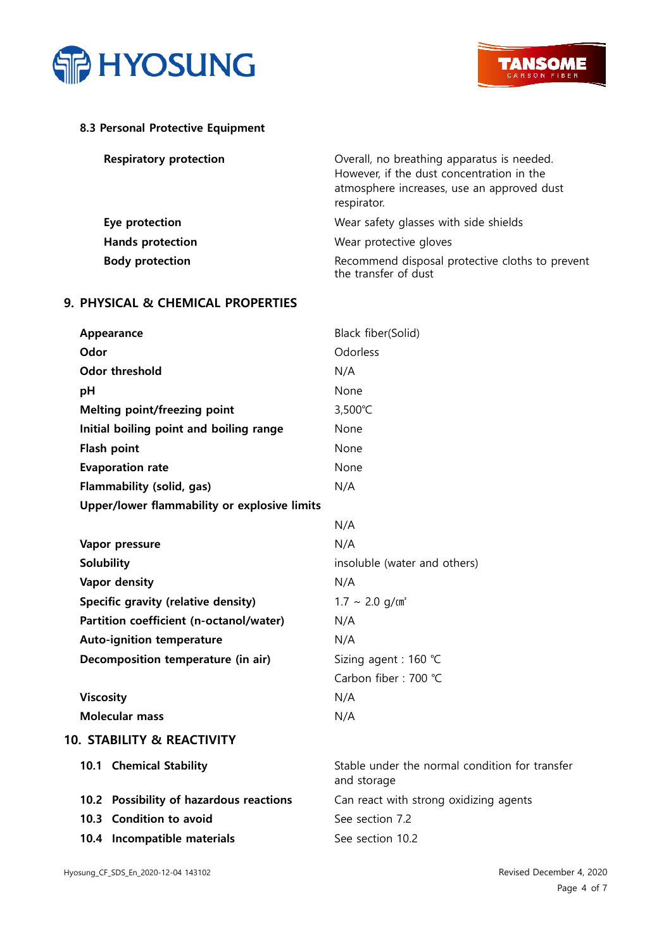



## 8.3 Personal Protective Equipment

| <b>Respiratory protection</b> | Overall, no breathing apparatus is needed.<br>However, if the dust concentration in the<br>atmosphere increases, use an approved dust<br>respirator. |
|-------------------------------|------------------------------------------------------------------------------------------------------------------------------------------------------|
| Eye protection                | Wear safety glasses with side shields                                                                                                                |
| <b>Hands protection</b>       | Wear protective gloves                                                                                                                               |
| <b>Body protection</b>        | Recommend disposal protective cloths to prevent<br>the transfer of dust                                                                              |

## 9. PHYSICAL & CHEMICAL PROPERTIES

| Appearance                                   | Black fiber(Solid)                                            |
|----------------------------------------------|---------------------------------------------------------------|
| Odor                                         | Odorless                                                      |
| <b>Odor threshold</b>                        | N/A                                                           |
| pH                                           | None                                                          |
| Melting point/freezing point                 | 3,500°C                                                       |
| Initial boiling point and boiling range      | None                                                          |
| Flash point                                  | None                                                          |
| <b>Evaporation rate</b>                      | None                                                          |
| Flammability (solid, gas)                    | N/A                                                           |
| Upper/lower flammability or explosive limits |                                                               |
|                                              | N/A                                                           |
| Vapor pressure                               | N/A                                                           |
| <b>Solubility</b>                            | insoluble (water and others)                                  |
| Vapor density                                | N/A                                                           |
| Specific gravity (relative density)          | $1.7 \sim 2.0$ g/cm <sup>3</sup>                              |
| Partition coefficient (n-octanol/water)      | N/A                                                           |
| <b>Auto-ignition temperature</b>             | N/A                                                           |
| Decomposition temperature (in air)           | Sizing agent : 160 ℃                                          |
|                                              | Carbon fiber: 700 °C                                          |
| <b>Viscosity</b>                             | N/A                                                           |
| <b>Molecular mass</b>                        | N/A                                                           |
| <b>10. STABILITY &amp; REACTIVITY</b>        |                                                               |
| 10.1 Chemical Stability                      | Stable under the normal condition for transfer<br>and storage |
| 10.2 Possibility of hazardous reactions      | Can react with strong oxidizing agents                        |
| 10.3 Condition to avoid                      | See section 7.2                                               |
| 10.4 Incompatible materials                  | See section 10.2                                              |
|                                              |                                                               |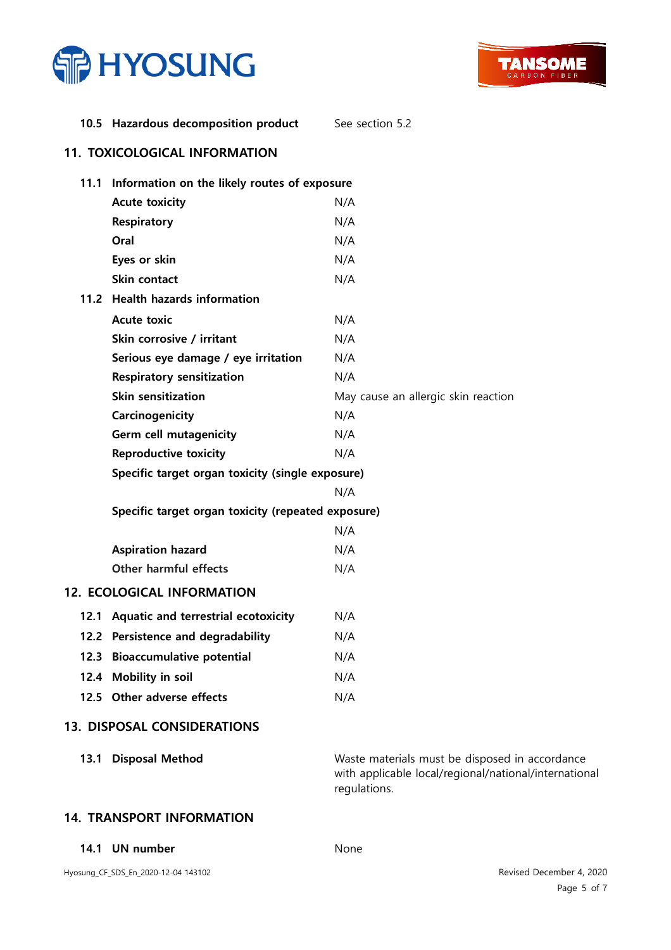



## 10.5 Hazardous decomposition product See section 5.2

## 11. TOXICOLOGICAL INFORMATION

| 11.1 | Information on the likely routes of exposure       |                                                                                                                         |
|------|----------------------------------------------------|-------------------------------------------------------------------------------------------------------------------------|
|      | <b>Acute toxicity</b>                              | N/A                                                                                                                     |
|      | <b>Respiratory</b>                                 | N/A                                                                                                                     |
|      | Oral                                               | N/A                                                                                                                     |
|      | Eyes or skin                                       | N/A                                                                                                                     |
|      | Skin contact                                       | N/A                                                                                                                     |
|      | 11.2 Health hazards information                    |                                                                                                                         |
|      | <b>Acute toxic</b>                                 | N/A                                                                                                                     |
|      | Skin corrosive / irritant                          | N/A                                                                                                                     |
|      | Serious eye damage / eye irritation                | N/A                                                                                                                     |
|      | <b>Respiratory sensitization</b>                   | N/A                                                                                                                     |
|      | Skin sensitization                                 | May cause an allergic skin reaction                                                                                     |
|      | Carcinogenicity                                    | N/A                                                                                                                     |
|      | Germ cell mutagenicity                             | N/A                                                                                                                     |
|      | <b>Reproductive toxicity</b>                       | N/A                                                                                                                     |
|      | Specific target organ toxicity (single exposure)   |                                                                                                                         |
|      |                                                    | N/A                                                                                                                     |
|      | Specific target organ toxicity (repeated exposure) |                                                                                                                         |
|      |                                                    | N/A                                                                                                                     |
|      | <b>Aspiration hazard</b>                           | N/A                                                                                                                     |
|      | <b>Other harmful effects</b>                       | N/A                                                                                                                     |
|      | 12. ECOLOGICAL INFORMATION                         |                                                                                                                         |
|      | 12.1 Aquatic and terrestrial ecotoxicity           | N/A                                                                                                                     |
|      | 12.2 Persistence and degradability                 | N/A                                                                                                                     |
|      | 12.3 Bioaccumulative potential                     | N/A                                                                                                                     |
|      | 12.4 Mobility in soil                              | N/A                                                                                                                     |
|      | 12.5 Other adverse effects                         | N/A                                                                                                                     |
|      | <b>13. DISPOSAL CONSIDERATIONS</b>                 |                                                                                                                         |
| 13.1 | <b>Disposal Method</b>                             | Waste materials must be disposed in accordance<br>with applicable local/regional/national/international<br>regulations. |

## 14. TRANSPORT INFORMATION

14.1 UN number None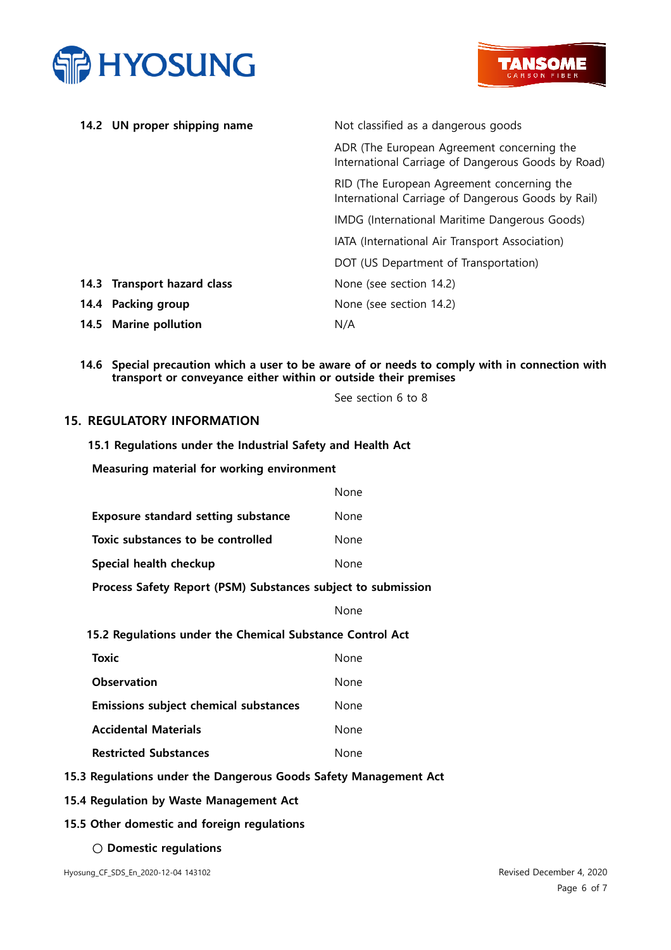



| 14.2 UN proper shipping name    | Not classified as a dangerous goods                                                              |
|---------------------------------|--------------------------------------------------------------------------------------------------|
|                                 | ADR (The European Agreement concerning the<br>International Carriage of Dangerous Goods by Road) |
|                                 | RID (The European Agreement concerning the<br>International Carriage of Dangerous Goods by Rail) |
|                                 | IMDG (International Maritime Dangerous Goods)                                                    |
|                                 | IATA (International Air Transport Association)                                                   |
|                                 | DOT (US Department of Transportation)                                                            |
| 14.3 Transport hazard class     | None (see section 14.2)                                                                          |
| 14.4 Packing group              | None (see section 14.2)                                                                          |
| <b>Marine pollution</b><br>14.5 | N/A                                                                                              |

14.6 Special precaution which a user to be aware of or needs to comply with in connection with transport or conveyance either within or outside their premises

See section 6 to 8

## 15. REGULATORY INFORMATION

### 15.1 Regulations under the Industrial Safety and Health Act

Measuring material for working environment

|                                            | None |
|--------------------------------------------|------|
| <b>Exposure standard setting substance</b> | None |
| Toxic substances to be controlled          | None |
| Special health checkup                     | None |

### Process Safety Report (PSM) Substances subject to submission

#### None

#### 15.2 Regulations under the Chemical Substance Control Act

| <b>Toxic</b>                                 | None |
|----------------------------------------------|------|
| <b>Observation</b>                           | None |
| <b>Emissions subject chemical substances</b> | None |
| <b>Accidental Materials</b>                  | None |
| <b>Restricted Substances</b>                 | None |

### 15.3 Regulations under the Dangerous Goods Safety Management Act

15.4 Regulation by Waste Management Act

## 15.5 Other domestic and foreign regulations

○ Domestic regulations